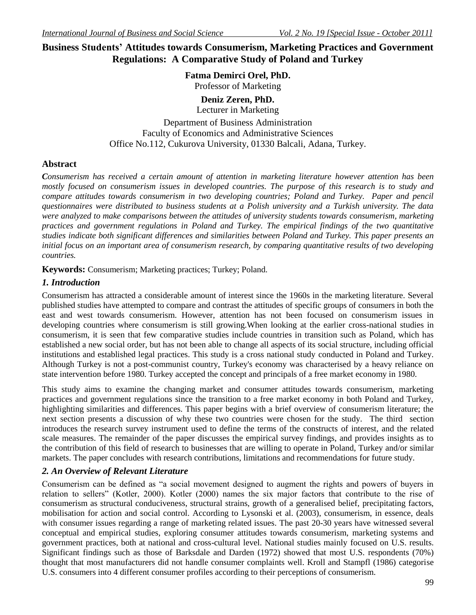# **Business Students' Attitudes towards Consumerism, Marketing Practices and Government Regulations: A Comparative Study of Poland and Turkey**

### **Fatma Demirci Orel, PhD.**

Professor of Marketing

**Deniz Zeren, PhD.**

Lecturer in Marketing Department of Business Administration Faculty of Economics and Administrative Sciences Office No.112, Cukurova University, 01330 Balcali, Adana, Turkey.

## **Abstract**

*Consumerism has received a certain amount of attention in marketing literature however attention has been mostly focused on consumerism issues in developed countries. The purpose of this research is to study and compare attitudes towards consumerism in two developing countries; Poland and Turkey. Paper and pencil questionnaires were distributed to business students at a Polish university and a Turkish university. The data were analyzed to make comparisons between the attitudes of university students towards consumerism, marketing practices and government regulations in Poland and Turkey. The empirical findings of the two quantitative studies indicate both significant differences and similarities between Poland and Turkey. This paper presents an initial focus on an important area of consumerism research, by comparing quantitative results of two developing countries.*

**Keywords:** Consumerism; Marketing practices; Turkey; Poland.

## *1. Introduction*

Consumerism has attracted a considerable amount of interest since the 1960s in the marketing literature. Several published studies have attempted to compare and contrast the attitudes of specific groups of consumers in both the east and west towards consumerism. However, attention has not been focused on consumerism issues in developing countries where consumerism is still growing.When looking at the earlier cross-national studies in consumerism, it is seen that few comparative studies include countries in transition such as Poland, which has established a new social order, but has not been able to change all aspects of its social structure, including official institutions and established legal practices. This study is a cross national study conducted in Poland and Turkey. Although Turkey is not a post-communist country, Turkey's economy was characterised by a heavy reliance on state intervention before 1980. Turkey accepted the concept and principals of a free market economy in 1980.

This study aims to examine the changing market and consumer attitudes towards consumerism, marketing practices and government regulations since the transition to a free market economy in both Poland and Turkey, highlighting similarities and differences. This paper begins with a brief overview of consumerism literature; the next section presents a discussion of why these two countries were chosen for the study.The third section introduces the research survey instrument used to define the terms of the constructs of interest, and the related scale measures. The remainder of the paper discusses the empirical survey findings, and provides insights as to the contribution of this field of research to businesses that are willing to operate in Poland, Turkey and/or similar markets. The paper concludes with research contributions, limitations and recommendations for future study.

## *2. An Overview of Relevant Literature*

Consumerism can be defined as "a social movement designed to augment the rights and powers of buyers in relation to sellers" (Kotler, 2000). Kotler (2000) names the six major factors that contribute to the rise of consumerism as structural conduciveness, structural strains, growth of a generalised belief, precipitating factors, mobilisation for action and social control. According to Lysonski et al. (2003), consumerism, in essence, deals with consumer issues regarding a range of marketing related issues. The past 20-30 years have witnessed several conceptual and empirical studies, exploring consumer attitudes towards consumerism, marketing systems and government practices, both at national and cross-cultural level. National studies mainly focused on U.S. results. Significant findings such as those of Barksdale and Darden (1972) showed that most U.S. respondents (70%) thought that most manufacturers did not handle consumer complaints well. Kroll and Stampfl (1986) categorise U.S. consumers into 4 different consumer profiles according to their perceptions of consumerism.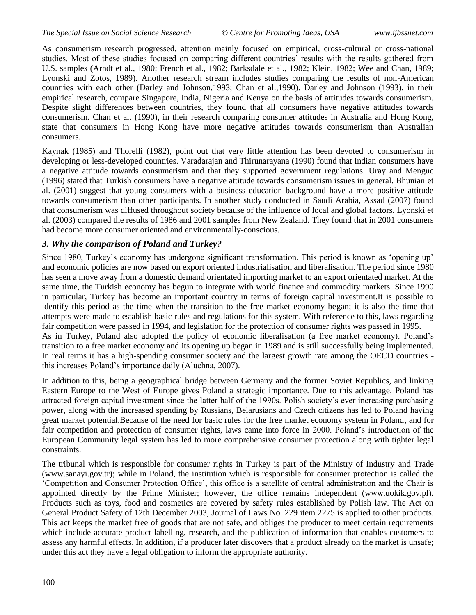As consumerism research progressed, attention mainly focused on empirical, cross-cultural or cross-national studies. Most of these studies focused on comparing different countries" results with the results gathered from U.S. samples (Arndt et al., 1980; French et al., 1982; Barksdale et al., 1982; Klein, 1982; Wee and Chan, 1989; Lyonski and Zotos, 1989). Another research stream includes studies comparing the results of non-American countries with each other (Darley and Johnson,1993; Chan et al.,1990). Darley and Johnson (1993), in their empirical research, compare Singapore, India, Nigeria and Kenya on the basis of attitudes towards consumerism. Despite slight differences between countries, they found that all consumers have negative attitudes towards consumerism. Chan et al. (1990), in their research comparing consumer attitudes in Australia and Hong Kong, state that consumers in Hong Kong have more negative attitudes towards consumerism than Australian consumers.

Kaynak (1985) and Thorelli (1982), point out that very little attention has been devoted to consumerism in developing or less-developed countries. Varadarajan and Thirunarayana (1990) found that Indian consumers have a negative attitude towards consumerism and that they supported government regulations. Uray and Menguc (1996) stated that Turkish consumers have a negative attitude towards consumerism issues in general. Bhunian et al. (2001) suggest that young consumers with a business education background have a more positive attitude towards consumerism than other participants. In another study conducted in Saudi Arabia, Assad (2007) found that consumerism was diffused throughout society because of the influence of local and global factors. Lyonski et al. (2003) compared the results of 1986 and 2001 samples from New Zealand. They found that in 2001 consumers had become more consumer oriented and environmentally-conscious.

## *3. Why the comparison of Poland and Turkey?*

Since 1980, Turkey"s economy has undergone significant transformation. This period is known as "opening up" and economic policies are now based on export oriented industrialisation and liberalisation. The period since 1980 has seen a move away from a domestic demand orientated importing market to an export orientated market. At the same time, the Turkish economy has begun to integrate with world finance and commodity markets. Since 1990 in particular, Turkey has become an important country in terms of foreign capital investment.It is possible to identify this period as the time when the transition to the free market economy began; it is also the time that attempts were made to establish basic rules and regulations for this system. With reference to this, laws regarding fair competition were passed in 1994, and legislation for the protection of consumer rights was passed in 1995. As in Turkey, Poland also adopted the policy of economic liberalisation (a free market economy). Poland"s transition to a free market economy and its opening up began in 1989 and is still successfully being implemented. In real terms it has a high-spending consumer society and the largest growth rate among the OECD countries -

this increases Poland"s importance daily (Aluchna, 2007).

In addition to this, being a geographical bridge between Germany and the former Soviet Republics, and linking Eastern Europe to the West of Europe gives Poland a strategic importance. Due to this advantage, Poland has attracted foreign capital investment since the latter half of the 1990s. Polish society"s ever increasing purchasing power, along with the increased spending by Russians, Belarusians and Czech citizens has led to Poland having great market potential.Because of the need for basic rules for the free market economy system in Poland, and for fair competition and protection of consumer rights, laws came into force in 2000. Poland"s introduction of the European Community legal system has led to more comprehensive consumer protection along with tighter legal constraints.

The tribunal which is responsible for consumer rights in Turkey is part of the Ministry of Industry and Trade (www.sanayi.gov.tr); while in Poland, the institution which is responsible for consumer protection is called the "Competition and Consumer Protection Office", this office is a satellite of central administration and the Chair is appointed directly by the Prime Minister; however, the office remains independent (www.uokik.gov.pl). Products such as toys, food and cosmetics are covered by safety rules established by Polish law. The Act on General Product Safety of 12th December 2003, Journal of Laws No. 229 item 2275 is applied to other products. This act keeps the market free of goods that are not safe, and obliges the producer to meet certain requirements which include accurate product labelling, research, and the publication of information that enables customers to assess any harmful effects. In addition, if a producer later discovers that a product already on the market is unsafe; under this act they have a legal obligation to inform the appropriate authority.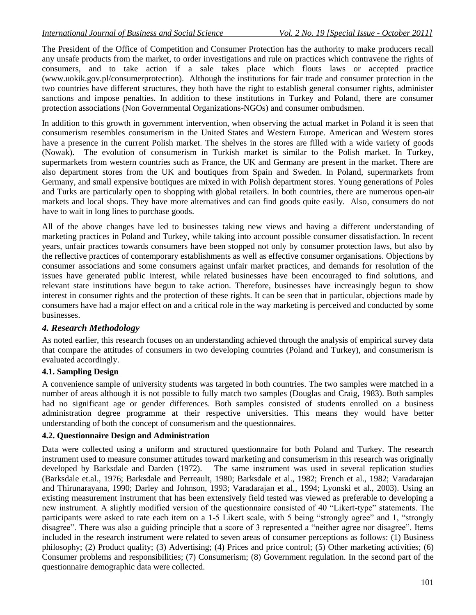The President of the Office of Competition and Consumer Protection has the authority to make producers recall any unsafe products from the market, to order investigations and rule on practices which contravene the rights of consumers, and to take action if a sale takes place which flouts laws or accepted practice (www.uokik.gov.pl/consumerprotection). Although the institutions for fair trade and consumer protection in the two countries have different structures, they both have the right to establish general consumer rights, administer sanctions and impose penalties. In addition to these institutions in Turkey and Poland, there are consumer protection associations (Non Governmental Organizations-NGOs) and consumer ombudsmen.

In addition to this growth in government intervention, when observing the actual market in Poland it is seen that consumerism resembles consumerism in the United States and Western Europe. American and Western stores have a presence in the current Polish market. The shelves in the stores are filled with a wide variety of goods (Nowak). The evolution of consumerism in Turkish market is similar to the Polish market. In Turkey, supermarkets from western countries such as France, the UK and Germany are present in the market. There are also department stores from the UK and boutiques from Spain and Sweden. In Poland, supermarkets from Germany, and small expensive boutiques are mixed in with Polish department stores. Young generations of Poles and Turks are particularly open to shopping with global retailers. In both countries, there are numerous open-air markets and local shops. They have more alternatives and can find goods quite easily. Also, consumers do not have to wait in long lines to purchase goods.

All of the above changes have led to businesses taking new views and having a different understanding of marketing practices in Poland and Turkey, while taking into account possible consumer dissatisfaction. In recent years, unfair practices towards consumers have been stopped not only by consumer protection laws, but also by the reflective practices of contemporary establishments as well as effective consumer organisations. Objections by consumer associations and some consumers against unfair market practices, and demands for resolution of the issues have generated public interest, while related businesses have been encouraged to find solutions, and relevant state institutions have begun to take action. Therefore, businesses have increasingly begun to show interest in consumer rights and the protection of these rights. It can be seen that in particular, objections made by consumers have had a major effect on and a critical role in the way marketing is perceived and conducted by some businesses.

## *4. Research Methodology*

As noted earlier, this research focuses on an understanding achieved through the analysis of empirical survey data that compare the attitudes of consumers in two developing countries (Poland and Turkey), and consumerism is evaluated accordingly.

## **4.1. Sampling Design**

A convenience sample of university students was targeted in both countries. The two samples were matched in a number of areas although it is not possible to fully match two samples (Douglas and Craig, 1983). Both samples had no significant age or gender differences. Both samples consisted of students enrolled on a business administration degree programme at their respective universities. This means they would have better understanding of both the concept of consumerism and the questionnaires.

## **4.2. Questionnaire Design and Administration**

Data were collected using a uniform and structured questionnaire for both Poland and Turkey. The research instrument used to measure consumer attitudes toward marketing and consumerism in this research was originally developed by Barksdale and Darden (1972). The same instrument was used in several replication studies (Barksdale et.al., 1976; Barksdale and Perreault, 1980; Barksdale et al., 1982; French et al., 1982; Varadarajan and Thirunarayana, 1990; Darley and Johnson, 1993; Varadarajan et al., 1994; Lyonski et al., 2003). Using an existing measurement instrument that has been extensively field tested was viewed as preferable to developing a new instrument. A slightly modified version of the questionnaire consisted of 40 "Likert-type" statements. The participants were asked to rate each item on a 1-5 Likert scale, with 5 being "strongly agree" and 1, "strongly disagree". There was also a guiding principle that a score of 3 represented a "neither agree nor disagree". Items included in the research instrument were related to seven areas of consumer perceptions as follows: (1) Business philosophy; (2) Product quality; (3) Advertising; (4) Prices and price control; (5) Other marketing activities; (6) Consumer problems and responsibilities; (7) Consumerism; (8) Government regulation. In the second part of the questionnaire demographic data were collected.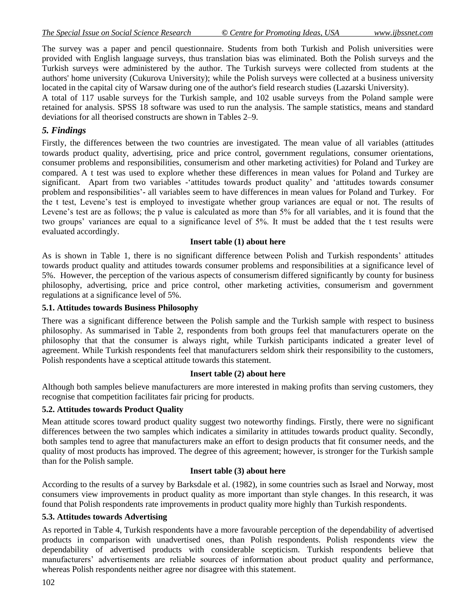The survey was a paper and pencil questionnaire. Students from both Turkish and Polish universities were provided with English language surveys, thus translation bias was eliminated. Both the Polish surveys and the Turkish surveys were administered by the author. The Turkish surveys were collected from students at the authors' home university (Cukurova University); while the Polish surveys were collected at a business university located in the capital city of Warsaw during one of the author's field research studies (Lazarski University).

A total of 117 usable surveys for the Turkish sample, and 102 usable surveys from the Poland sample were retained for analysis. SPSS 18 software was used to run the analysis. The sample statistics, means and standard deviations for all theorised constructs are shown in Tables 2–9.

## *5. Findings*

Firstly, the differences between the two countries are investigated. The mean value of all variables (attitudes towards product quality, advertising, price and price control, government regulations, consumer orientations, consumer problems and responsibilities, consumerism and other marketing activities) for Poland and Turkey are compared. A t test was used to explore whether these differences in mean values for Poland and Turkey are significant. Apart from two variables - attitudes towards product quality' and 'attitudes towards consumer problem and responsibilities"- all variables seem to have differences in mean values for Poland and Turkey. For the t test, Levene"s test is employed to investigate whether group variances are equal or not. The results of Levene's test are as follows; the p value is calculated as more than 5% for all variables, and it is found that the two groups' variances are equal to a significance level of 5%. It must be added that the t test results were evaluated accordingly.

### **Insert table (1) about here**

As is shown in Table 1, there is no significant difference between Polish and Turkish respondents" attitudes towards product quality and attitudes towards consumer problems and responsibilities at a significance level of 5%. However, the perception of the various aspects of consumerism differed significantly by county for business philosophy, advertising, price and price control, other marketing activities, consumerism and government regulations at a significance level of 5%.

#### **5.1. Attitudes towards Business Philosophy**

There was a significant difference between the Polish sample and the Turkish sample with respect to business philosophy. As summarised in Table 2, respondents from both groups feel that manufacturers operate on the philosophy that that the consumer is always right, while Turkish participants indicated a greater level of agreement. While Turkish respondents feel that manufacturers seldom shirk their responsibility to the customers, Polish respondents have a sceptical attitude towards this statement.

#### **Insert table (2) about here**

Although both samples believe manufacturers are more interested in making profits than serving customers, they recognise that competition facilitates fair pricing for products.

## **5.2. Attitudes towards Product Quality**

Mean attitude scores toward product quality suggest two noteworthy findings. Firstly, there were no significant differences between the two samples which indicates a similarity in attitudes towards product quality. Secondly, both samples tend to agree that manufacturers make an effort to design products that fit consumer needs, and the quality of most products has improved. The degree of this agreement; however, is stronger for the Turkish sample than for the Polish sample.

#### **Insert table (3) about here**

According to the results of a survey by Barksdale et al. (1982), in some countries such as Israel and Norway, most consumers view improvements in product quality as more important than style changes. In this research, it was found that Polish respondents rate improvements in product quality more highly than Turkish respondents.

#### **5.3. Attitudes towards Advertising**

As reported in Table 4, Turkish respondents have a more favourable perception of the dependability of advertised products in comparison with unadvertised ones, than Polish respondents. Polish respondents view the dependability of advertised products with considerable scepticism. Turkish respondents believe that manufacturers" advertisements are reliable sources of information about product quality and performance, whereas Polish respondents neither agree nor disagree with this statement.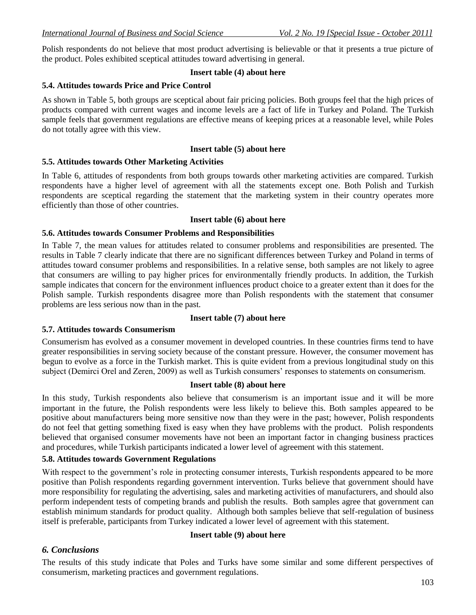Polish respondents do not believe that most product advertising is believable or that it presents a true picture of the product. Poles exhibited sceptical attitudes toward advertising in general.

#### **Insert table (4) about here**

#### **5.4. Attitudes towards Price and Price Control**

As shown in Table 5, both groups are sceptical about fair pricing policies. Both groups feel that the high prices of products compared with current wages and income levels are a fact of life in Turkey and Poland. The Turkish sample feels that government regulations are effective means of keeping prices at a reasonable level, while Poles do not totally agree with this view.

### **Insert table (5) about here**

### **5.5. Attitudes towards Other Marketing Activities**

In Table 6, attitudes of respondents from both groups towards other marketing activities are compared. Turkish respondents have a higher level of agreement with all the statements except one. Both Polish and Turkish respondents are sceptical regarding the statement that the marketing system in their country operates more efficiently than those of other countries.

#### **Insert table (6) about here**

### **5.6. Attitudes towards Consumer Problems and Responsibilities**

In Table 7, the mean values for attitudes related to consumer problems and responsibilities are presented. The results in Table 7 clearly indicate that there are no significant differences between Turkey and Poland in terms of attitudes toward consumer problems and responsibilities. In a relative sense, both samples are not likely to agree that consumers are willing to pay higher prices for environmentally friendly products. In addition, the Turkish sample indicates that concern for the environment influences product choice to a greater extent than it does for the Polish sample. Turkish respondents disagree more than Polish respondents with the statement that consumer problems are less serious now than in the past.

## **Insert table (7) about here**

#### **5.7. Attitudes towards Consumerism**

Consumerism has evolved as a consumer movement in developed countries. In these countries firms tend to have greater responsibilities in serving society because of the constant pressure. However, the consumer movement has begun to evolve as a force in the Turkish market. This is quite evident from a previous longitudinal study on this subject (Demirci Orel and Zeren, 2009) as well as Turkish consumers' responses to statements on consumerism.

#### **Insert table (8) about here**

In this study, Turkish respondents also believe that consumerism is an important issue and it will be more important in the future, the Polish respondents were less likely to believe this. Both samples appeared to be positive about manufacturers being more sensitive now than they were in the past; however, Polish respondents do not feel that getting something fixed is easy when they have problems with the product. Polish respondents believed that organised consumer movements have not been an important factor in changing business practices and procedures, while Turkish participants indicated a lower level of agreement with this statement.

#### **5.8. Attitudes towards Government Regulations**

With respect to the government's role in protecting consumer interests, Turkish respondents appeared to be more positive than Polish respondents regarding government intervention. Turks believe that government should have more responsibility for regulating the advertising, sales and marketing activities of manufacturers, and should also perform independent tests of competing brands and publish the results. Both samples agree that government can establish minimum standards for product quality. Although both samples believe that self-regulation of business itself is preferable, participants from Turkey indicated a lower level of agreement with this statement.

#### **Insert table (9) about here**

# *6. Conclusions*

The results of this study indicate that Poles and Turks have some similar and some different perspectives of consumerism, marketing practices and government regulations.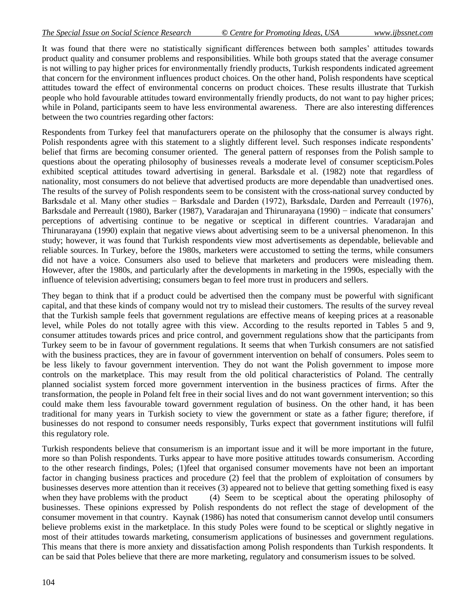It was found that there were no statistically significant differences between both samples" attitudes towards product quality and consumer problems and responsibilities. While both groups stated that the average consumer is not willing to pay higher prices for environmentally friendly products, Turkish respondents indicated agreement that concern for the environment influences product choices. On the other hand, Polish respondents have sceptical attitudes toward the effect of environmental concerns on product choices. These results illustrate that Turkish people who hold favourable attitudes toward environmentally friendly products, do not want to pay higher prices; while in Poland, participants seem to have less environmental awareness. There are also interesting differences between the two countries regarding other factors:

Respondents from Turkey feel that manufacturers operate on the philosophy that the consumer is always right. Polish respondents agree with this statement to a slightly different level. Such responses indicate respondents' belief that firms are becoming consumer oriented. The general pattern of responses from the Polish sample to questions about the operating philosophy of businesses reveals a moderate level of consumer scepticism.Poles exhibited sceptical attitudes toward advertising in general. Barksdale et al. (1982) note that regardless of nationality, most consumers do not believe that advertised products are more dependable than unadvertised ones. The results of the survey of Polish respondents seem to be consistent with the cross-national survey conducted by Barksdale et al. Many other studies − Barksdale and Darden (1972), Barksdale, Darden and Perreault (1976), Barksdale and Perreault (1980), Barker (1987), Varadarajan and Thirunarayana (1990) − indicate that consumers' perceptions of advertising continue to be negative or sceptical in different countries. Varadarajan and Thirunarayana (1990) explain that negative views about advertising seem to be a universal phenomenon. In this study; however, it was found that Turkish respondents view most advertisements as dependable, believable and reliable sources. In Turkey, before the 1980s, marketers were accustomed to setting the terms, while consumers did not have a voice. Consumers also used to believe that marketers and producers were misleading them. However, after the 1980s, and particularly after the developments in marketing in the 1990s, especially with the influence of television advertising; consumers began to feel more trust in producers and sellers.

They began to think that if a product could be advertised then the company must be powerful with significant capital, and that these kinds of company would not try to mislead their customers. The results of the survey reveal that the Turkish sample feels that government regulations are effective means of keeping prices at a reasonable level, while Poles do not totally agree with this view. According to the results reported in Tables 5 and 9, consumer attitudes towards prices and price control, and government regulations show that the participants from Turkey seem to be in favour of government regulations. It seems that when Turkish consumers are not satisfied with the business practices, they are in favour of government intervention on behalf of consumers. Poles seem to be less likely to favour government intervention. They do not want the Polish government to impose more controls on the marketplace. This may result from the old political characteristics of Poland. The centrally planned socialist system forced more government intervention in the business practices of firms. After the transformation, the people in Poland felt free in their social lives and do not want government intervention; so this could make them less favourable toward government regulation of business. On the other hand, it has been traditional for many years in Turkish society to view the government or state as a father figure; therefore, if businesses do not respond to consumer needs responsibly, Turks expect that government institutions will fulfil this regulatory role.

Turkish respondents believe that consumerism is an important issue and it will be more important in the future, more so than Polish respondents. Turks appear to have more positive attitudes towards consumerism. According to the other research findings, Poles; (1)feel that organised consumer movements have not been an important factor in changing business practices and procedure (2) feel that the problem of exploitation of consumers by businesses deserves more attention than it receives (3) appeared not to believe that getting something fixed is easy when they have problems with the product (4) Seem to be sceptical about the operating philosophy of businesses. These opinions expressed by Polish respondents do not reflect the stage of development of the consumer movement in that country. Kaynak (1986) has noted that consumerism cannot develop until consumers believe problems exist in the marketplace. In this study Poles were found to be sceptical or slightly negative in most of their attitudes towards marketing, consumerism applications of businesses and government regulations. This means that there is more anxiety and dissatisfaction among Polish respondents than Turkish respondents. It can be said that Poles believe that there are more marketing, regulatory and consumerism issues to be solved.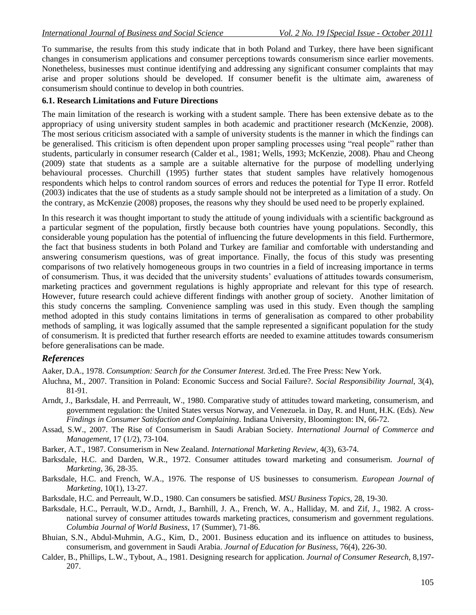To summarise, the results from this study indicate that in both Poland and Turkey, there have been significant changes in consumerism applications and consumer perceptions towards consumerism since earlier movements. Nonetheless, businesses must continue identifying and addressing any significant consumer complaints that may arise and proper solutions should be developed. If consumer benefit is the ultimate aim, awareness of consumerism should continue to develop in both countries.

### **6.1. Research Limitations and Future Directions**

The main limitation of the research is working with a student sample. There has been extensive debate as to the appropriacy of using university student samples in both academic and practitioner research (McKenzie, 2008). The most serious criticism associated with a sample of university students is the manner in which the findings can be generalised. This criticism is often dependent upon proper sampling processes using "real people" rather than students, particularly in consumer research (Calder et al., 1981; Wells, 1993; McKenzie, 2008). Phau and Cheong (2009) state that students as a sample are a suitable alternative for the purpose of modelling underlying behavioural processes. Churchill (1995) further states that student samples have relatively homogenous respondents which helps to control random sources of errors and reduces the potential for Type II error. Rotfeld (2003) indicates that the use of students as a study sample should not be interpreted as a limitation of a study. On the contrary, as McKenzie (2008) proposes, the reasons why they should be used need to be properly explained.

In this research it was thought important to study the attitude of young individuals with a scientific background as a particular segment of the population, firstly because both countries have young populations. Secondly, this considerable young population has the potential of influencing the future developments in this field. Furthermore, the fact that business students in both Poland and Turkey are familiar and comfortable with understanding and answering consumerism questions, was of great importance. Finally, the focus of this study was presenting comparisons of two relatively homogeneous groups in two countries in a field of increasing importance in terms of consumerism. Thus, it was decided that the university students" evaluations of attitudes towards consumerism, marketing practices and government regulations is highly appropriate and relevant for this type of research. However, future research could achieve different findings with another group of society. Another limitation of this study concerns the sampling. Convenience sampling was used in this study. Even though the sampling method adopted in this study contains limitations in terms of generalisation as compared to other probability methods of sampling, it was logically assumed that the sample represented a significant population for the study of consumerism. It is predicted that further research efforts are needed to examine attitudes towards consumerism before generalisations can be made.

## *References*

Aaker, D.A., 1978. *Consumption: Search for the Consumer Interest.* 3rd.ed. The Free Press: New York.

- Aluchna, M., 2007. Transition in Poland: Economic Success and Social Failure?. *Social Responsibility Journal*, 3(4), 81-91.
- Arndt, J., Barksdale, H. and Perrreault, W., 1980. Comparative study of attitudes toward marketing, consumerism, and government regulation: the United States versus Norway, and Venezuela. in Day, R. and Hunt, H.K. (Eds). *New Findings in Consumer Satisfaction and Complaining*. Indiana University, Bloomington: IN, 66-72.
- Assad, S.W., 2007. The Rise of Consumerism in Saudi Arabian Society. *International Journal of Commerce and Management*, 17 (1/2), 73-104.
- Barker, A.T., 1987. Consumerism in New Zealand. *International Marketing Review*, 4(3), 63-74.
- Barksdale, H.C. and Darden, W.R., 1972. Consumer attitudes toward marketing and consumerism. *Journal of Marketing*, 36, 28-35.
- Barksdale, H.C. and French, W.A., 1976. The response of US businesses to consumerism. *European Journal of Marketing,* 10(1), 13-27.

Barksdale, H.C. and Perreault, W.D., 1980. Can consumers be satisfied. *MSU Business Topics*, 28, 19-30.

- Barksdale, H.C., Perrault, W.D., Arndt, J., Barnhill, J. A., French, W. A., Halliday, M. and Zif, J., 1982. A crossnational survey of consumer attitudes towards marketing practices, consumerism and government regulations. *Columbia Journal of World Business*, 17 (Summer), 71-86.
- Bhuian, S.N., Abdul-Muhmin, A.G., Kim, D., 2001. Business education and its influence on attitudes to business, consumerism, and government in Saudi Arabia. *Journal of Education for Business*, 76(4), 226-30.
- Calder, B., Phillips, L.W., Tybout, A., 1981. Designing research for application. *Journal of Consumer Research*, 8,197- 207.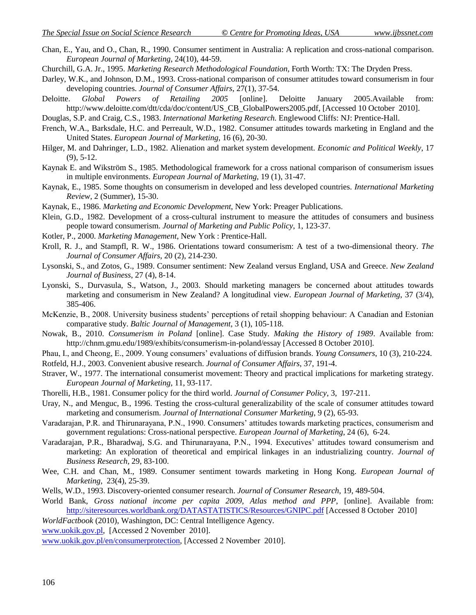- Chan, E., Yau, and O., Chan, R., 1990. Consumer sentiment in Australia: A replication and cross-national comparison. *European Journal of Marketing*, 24(10), 44-59.
- Churchill, G.A. Jr., 1995. *Marketing Research Methodological Foundation*, Forth Worth: TX: The Dryden Press.
- Darley, W.K., and Johnson, D.M., 1993. Cross-national comparison of consumer attitudes toward consumerism in four developing countries. *Journal of Consumer Affairs*, 27(1), 37-54.
- Deloitte. *Global Powers of Retailing 2005* [online]. Deloitte January 2005.Available from: http://www.deloitte.com/dtt/cda/doc/content/US\_CB\_GlobalPowers2005.pdf, [Accessed 10 October 2010].
- Douglas, S.P. and Craig, C.S., 1983. *International Marketing Research.* Englewood Cliffs: NJ: Prentice-Hall.
- French, W.A., Barksdale, H.C. and Perreault, W.D., 1982. Consumer attitudes towards marketing in England and the United States. *European Journal of Marketing*, 16 (6), 20-30.
- Hilger, M. and Dahringer, L.D., 1982. Alienation and market system development. *Economic and Political Weekly*, 17 (9), 5-12.
- Kaynak E. and Wikström S., 1985. Methodological framework for a cross national comparison of consumerism issues in multiple environments. *European Journal of Marketing,* 19 (1), 31-47.
- Kaynak, E., 1985. Some thoughts on consumerism in developed and less developed countries. *International Marketing Review*, 2 (Summer), 15-30.
- Kaynak, E., 1986. *Marketing and Economic Development*, New York: Preager Publications.
- Klein, G.D., 1982. Development of a cross-cultural instrument to measure the attitudes of consumers and business people toward consumerism. *Journal of Marketing and Public Policy*, 1, 123-37.
- Kotler, P., 2000. *Marketing Management*, New York : Prentice-Hall.
- Kroll, R. J., and Stampfl, R. W., 1986. Orientations toward consumerism: A test of a two-dimensional theory. *The Journal of Consumer Affairs*, 20 (2), 214-230.
- Lysonski, S., and Zotos, G., 1989. Consumer sentiment: New Zealand versus England, USA and Greece. *New Zealand Journal of Business*, 27 (4), 8-14.
- Lyonski, S., Durvasula, S., Watson, J., 2003. Should marketing managers be concerned about attitudes towards marketing and consumerism in New Zealand? A longitudinal view. *European Journal of Marketing*, 37 (3/4), 385-406.
- McKenzie, B., 2008. University business students" perceptions of retail shopping behaviour: A Canadian and Estonian comparative study. *Baltic Journal of Management*, 3 (1), 105-118.
- Nowak, B., 2010. *Consumerism in Poland* [online]. Case Study. *Making the History of 1989*. Available from: http://chnm.gmu.edu/1989/exhibits/consumerism-in-poland/essay [Accessed 8 October 2010].
- Phau, I., and Cheong, E., 2009. Young consumers" evaluations of diffusion brands. *Young Consumers*, 10 (3), 210-224.
- Rotfeld, H.J., 2003. Convenient abusive research. *Journal of Consumer Affairs*, 37, 191-4.
- Straver, W., 1977. The international consumerist movement: Theory and practical implications for marketing strategy. *European Journal of Marketing,* 11, 93-117.
- Thorelli, H.B., 1981. Consumer policy for the third world. *Journal of Consumer Policy*, 3, 197-211.
- Uray, N., and Menguc, B., 1996. Testing the cross-cultural generalizability of the scale of consumer attitudes toward marketing and consumerism. *Journal of International Consumer Marketing*, 9 (2), 65-93.
- Varadarajan, P.R. and Thirunarayana, P.N., 1990. Consumers" attitudes towards marketing practices, consumerism and government regulations: Cross-national perspective. *European Journal of Marketing*, 24 (6), 6-24.
- Varadarajan, P.R., Bharadwaj, S.G. and Thirunarayana, P.N., 1994. Executives" attitudes toward consumerism and marketing: An exploration of theoretical and empirical linkages in an industrializing country. *Journal of Business Research,* 29, 83-100.
- Wee, C.H. and Chan, M., 1989. Consumer sentiment towards marketing in Hong Kong. *European Journal of Marketing*, 23(4), 25-39.
- Wells, W.D., 1993. Discovery-oriented consumer research. *Journal of Consumer Research*, 19, 489-504.
- World Bank, *Gross national income per capita 2009, Atlas method and PPP*, [online]. Available from: <http://siteresources.worldbank.org/DATASTATISTICS/Resources/GNIPC.pdf> [Accessed 8 October 2010]
- *WorldFactbook* (2010), Washington, DC: Central Intelligence Agency.

[www.uokik.gov.pl,](http://www.uokik.gov.pl/) [Accessed 2 November 2010].

[www.uokik.gov.pl/en/consumerprotection,](http://www.uokik.gov.pl/en/consumerprotection) [Accessed 2 November 2010].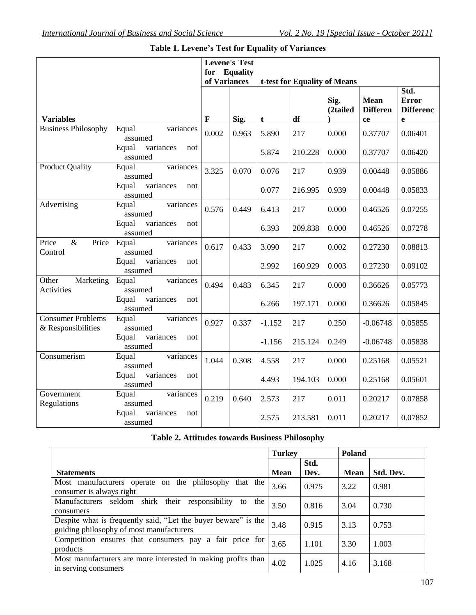|                                                |                                      | of Variances | <b>Levene's Test</b><br>for Equality |          | t-test for Equality of Means |                  |                                      |                                               |
|------------------------------------------------|--------------------------------------|--------------|--------------------------------------|----------|------------------------------|------------------|--------------------------------------|-----------------------------------------------|
| <b>Variables</b>                               |                                      | F            | Sig.                                 | t        | df                           | Sig.<br>(2tailed | <b>Mean</b><br><b>Differen</b><br>ce | Std.<br><b>Error</b><br><b>Differenc</b><br>e |
| <b>Business Philosophy</b>                     | Equal<br>variances<br>assumed        | 0.002        | 0.963                                | 5.890    | 217                          | 0.000            | 0.37707                              | 0.06401                                       |
|                                                | Equal<br>variances<br>not<br>assumed |              |                                      | 5.874    | 210.228                      | 0.000            | 0.37707                              | 0.06420                                       |
| <b>Product Quality</b>                         | Equal<br>variances<br>assumed        | 3.325        | 0.070                                | 0.076    | 217                          | 0.939            | 0.00448                              | 0.05886                                       |
|                                                | Equal<br>variances<br>not<br>assumed |              |                                      | 0.077    | 216.995                      | 0.939            | 0.00448                              | 0.05833                                       |
| Advertising                                    | variances<br>Equal<br>assumed        | 0.576        | 0.449                                | 6.413    | 217                          | 0.000            | 0.46526                              | 0.07255                                       |
|                                                | Equal<br>variances<br>not<br>assumed |              |                                      | 6.393    | 209.838                      | 0.000            | 0.46526                              | 0.07278                                       |
| $\&$<br>Price<br>Price<br>Control              | Equal<br>variances<br>assumed        | 0.617        | 0.433                                | 3.090    | 217                          | 0.002            | 0.27230                              | 0.08813                                       |
|                                                | Equal<br>variances<br>not<br>assumed |              |                                      | 2.992    | 160.929                      | 0.003            | 0.27230                              | 0.09102                                       |
| Marketing<br>Other<br><b>Activities</b>        | variances<br>Equal<br>assumed        | 0.494        | 0.483                                | 6.345    | 217                          | 0.000            | 0.36626                              | 0.05773                                       |
|                                                | Equal<br>variances<br>not<br>assumed |              |                                      | 6.266    | 197.171                      | 0.000            | 0.36626                              | 0.05845                                       |
| <b>Consumer Problems</b><br>& Responsibilities | Equal<br>variances<br>assumed        | 0.927        | 0.337                                | $-1.152$ | 217                          | 0.250            | $-0.06748$                           | 0.05855                                       |
|                                                | variances<br>Equal<br>not<br>assumed |              |                                      | $-1.156$ | 215.124                      | 0.249            | $-0.06748$                           | 0.05838                                       |
| Consumerism                                    | Equal<br>variances<br>assumed        | 1.044        | 0.308                                | 4.558    | 217                          | 0.000            | 0.25168                              | 0.05521                                       |
|                                                | variances<br>Equal<br>not<br>assumed |              |                                      | 4.493    | 194.103                      | 0.000            | 0.25168                              | 0.05601                                       |
| Government<br>Regulations                      | Equal<br>variances<br>assumed        | 0.219        | 0.640                                | 2.573    | 217                          | 0.011            | 0.20217                              | 0.07858                                       |
|                                                | Equal<br>variances<br>not<br>assumed |              |                                      | 2.575    | 213.581                      | 0.011            | 0.20217                              | 0.07852                                       |

# **Table 1. Levene's Test for Equality of Variances**

# **Table 2. Attitudes towards Business Philosophy**

|                                                                                                            | <b>Turkey</b> |              | Poland      |           |
|------------------------------------------------------------------------------------------------------------|---------------|--------------|-------------|-----------|
| <b>Statements</b>                                                                                          | <b>Mean</b>   | Std.<br>Dev. | <b>Mean</b> | Std. Dev. |
| Most manufacturers operate on the philosophy<br>that the<br>consumer is always right                       | 3.66          | 0.975        | 3.22        | 0.981     |
| shirk their responsibility<br>Manufacturers seldom<br>the<br>to<br>consumers                               | 3.50          | 0.816        | 3.04        | 0.730     |
| Despite what is frequently said, "Let the buyer beware" is the<br>guiding philosophy of most manufacturers | 3.48          | 0.915        | 3.13        | 0.753     |
| Competition ensures that consumers pay a fair price for<br>products                                        | 3.65          | 1.101        | 3.30        | 1.003     |
| Most manufacturers are more interested in making profits than<br>in serving consumers                      | 4.02          | 1.025        | 4.16        | 3.168     |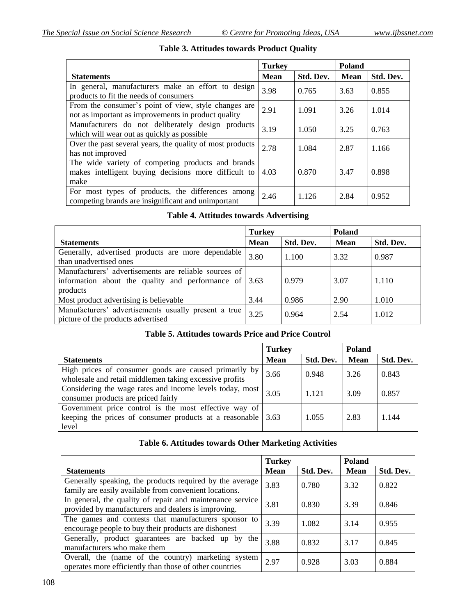|                                                                                                                   | <b>Turkey</b> |           | <b>Poland</b> |           |
|-------------------------------------------------------------------------------------------------------------------|---------------|-----------|---------------|-----------|
| <b>Statements</b>                                                                                                 | <b>Mean</b>   | Std. Dev. | <b>Mean</b>   | Std. Dev. |
| In general, manufacturers make an effort to design<br>products to fit the needs of consumers                      | 3.98          | 0.765     | 3.63          | 0.855     |
| From the consumer's point of view, style changes are<br>not as important as improvements in product quality       | 2.91          | 1.091     | 3.26          | 1.014     |
| Manufacturers do not deliberately design products<br>which will wear out as quickly as possible                   | 3.19          | 1.050     | 3.25          | 0.763     |
| Over the past several years, the quality of most products<br>has not improved                                     | 2.78          | 1.084     | 2.87          | 1.166     |
| The wide variety of competing products and brands<br>makes intelligent buying decisions more difficult to<br>make | 4.03          | 0.870     | 3.47          | 0.898     |
| For most types of products, the differences among<br>competing brands are insignificant and unimportant           | 2.46          | 1.126     | 2.84          | 0.952     |

# **Table 3. Attitudes towards Product Quality**

# **Table 4. Attitudes towards Advertising**

|                                                                                                                                            | <b>Turkey</b> |           | Poland      |           |
|--------------------------------------------------------------------------------------------------------------------------------------------|---------------|-----------|-------------|-----------|
| <b>Statements</b>                                                                                                                          | <b>Mean</b>   | Std. Dev. | <b>Mean</b> | Std. Dev. |
| Generally, advertised products are more dependable<br>than unadvertised ones                                                               | 3.80          | 1.100     | 3.32        | 0.987     |
| Manufacturers' advertisements are reliable sources of<br>information about the quality and performance of $\vert 3.63 \rangle$<br>products |               | 0.979     | 3.07        | 1.110     |
| Most product advertising is believable                                                                                                     | 3.44          | 0.986     | 2.90        | 1.010     |
| Manufacturers' advertisements usually present a true<br>picture of the products advertised                                                 | 3.25          | 0.964     | 2.54        | 1.012     |

# **Table 5. Attitudes towards Price and Price Control**

|                                                                                                                           | <b>Turkey</b> |           | <b>Poland</b> |           |
|---------------------------------------------------------------------------------------------------------------------------|---------------|-----------|---------------|-----------|
| <b>Statements</b>                                                                                                         | <b>Mean</b>   | Std. Dev. | <b>Mean</b>   | Std. Dev. |
| High prices of consumer goods are caused primarily by<br>wholesale and retail middlemen taking excessive profits          | 3.66          | 0.948     | 3.26          | 0.843     |
| Considering the wage rates and income levels today, most<br>consumer products are priced fairly                           | 3.05          | 1.121     | 3.09          | 0.857     |
| Government price control is the most effective way of<br>keeping the prices of consumer products at a reasonable<br>level | 3.63          | 1.055     | 2.83          | 1.144     |

#### **Table 6. Attitudes towards Other Marketing Activities**

|                                                                                                                    | <b>Turkey</b> |           | <b>Poland</b> |           |
|--------------------------------------------------------------------------------------------------------------------|---------------|-----------|---------------|-----------|
| <b>Statements</b>                                                                                                  | <b>Mean</b>   | Std. Dev. | <b>Mean</b>   | Std. Dev. |
| Generally speaking, the products required by the average<br>family are easily available from convenient locations. | 3.83          | 0.780     | 3.32          | 0.822     |
| In general, the quality of repair and maintenance service<br>provided by manufacturers and dealers is improving.   | 3.81          | 0.830     | 3.39          | 0.846     |
| The games and contests that manufacturers sponsor to<br>encourage people to buy their products are dishonest       | 3.39          | 1.082     | 3.14          | 0.955     |
| Generally, product guarantees are backed up by the<br>manufacturers who make them                                  | 3.88          | 0.832     | 3.17          | 0.845     |
| Overall, the (name of the country) marketing system<br>operates more efficiently than those of other countries     | 2.97          | 0.928     | 3.03          | 0.884     |